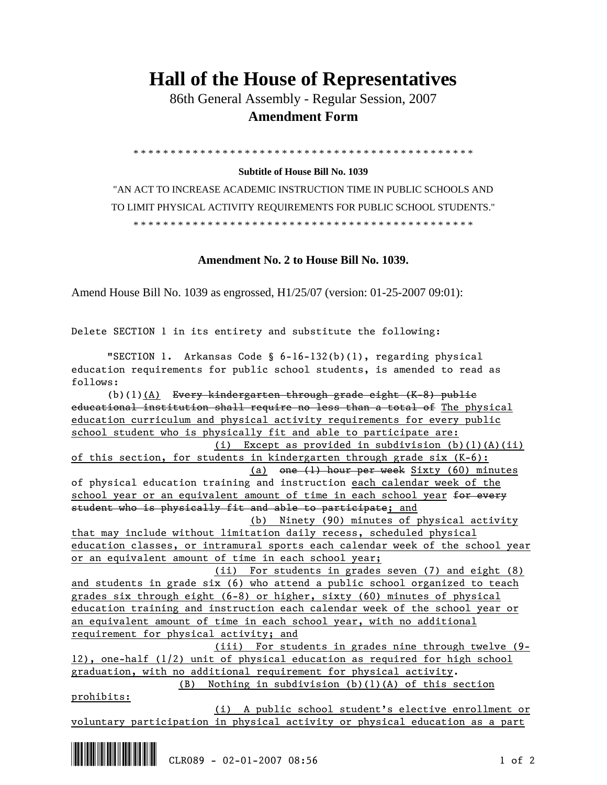## **Hall of the House of Representatives**

 86th General Assembly - Regular Session, 2007  **Amendment Form** 

\* \* \* \* \* \* \* \* \* \* \* \* \* \* \* \* \* \* \* \* \* \* \* \* \* \* \* \* \* \* \* \* \* \* \* \* \* \* \* \* \* \* \* \* \* \*

## **Subtitle of House Bill No. 1039**

"AN ACT TO INCREASE ACADEMIC INSTRUCTION TIME IN PUBLIC SCHOOLS AND TO LIMIT PHYSICAL ACTIVITY REQUIREMENTS FOR PUBLIC SCHOOL STUDENTS." \* \* \* \* \* \* \* \* \* \* \* \* \* \* \* \* \* \* \* \* \* \* \* \* \* \* \* \* \* \* \* \* \* \* \* \* \* \* \* \* \* \* \* \* \* \*

**Amendment No. 2 to House Bill No. 1039.** 

Amend House Bill No. 1039 as engrossed, H1/25/07 (version: 01-25-2007 09:01):

Delete SECTION 1 in its entirety and substitute the following:

 "SECTION 1. Arkansas Code § 6-16-132(b)(1), regarding physical education requirements for public school students, is amended to read as follows:

 $(b)(1)(A)$  Every kindergarten through grade eight  $(K-8)$  public educational institution shall require no less than a total of The physical education curriculum and physical activity requirements for every public school student who is physically fit and able to participate are:

 (i) Except as provided in subdivision (b)(1)(A)(ii) of this section, for students in kindergarten through grade six (K-6):

 (a) one (1) hour per week Sixty (60) minutes of physical education training and instruction each calendar week of the school year or an equivalent amount of time in each school year for every student who is physically fit and able to participate; and

 (b) Ninety (90) minutes of physical activity that may include without limitation daily recess, scheduled physical education classes, or intramural sports each calendar week of the school year or an equivalent amount of time in each school year;

 (ii) For students in grades seven (7) and eight (8) and students in grade six (6) who attend a public school organized to teach grades six through eight (6-8) or higher, sixty (60) minutes of physical education training and instruction each calendar week of the school year or an equivalent amount of time in each school year, with no additional requirement for physical activity; and

 (iii) For students in grades nine through twelve (9- 12), one-half (1/2) unit of physical education as required for high school graduation, with no additional requirement for physical activity. (B) Nothing in subdivision (b)(1)(A) of this section

prohibits:

 (i) A public school student's elective enrollment or voluntary participation in physical activity or physical education as a part